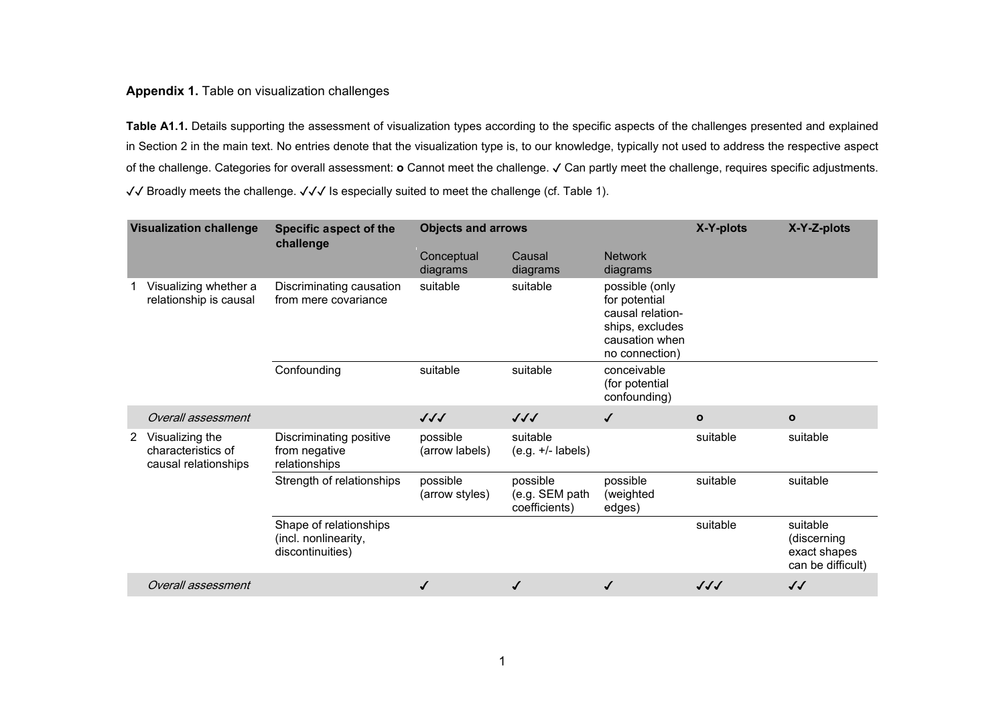## **Appendix 1.** Table on visualization challenges

Table A1.1. Details supporting the assessment of visualization types according to the specific aspects of the challenges presented and explained in Section 2 in the main text. No entries denote that the visualization type is, to our knowledge, typically not used to address the respective aspect of the challenge. Categories for overall assessment: **o** Cannot meet the challenge. ✓ Can partly meet the challenge, requires specific adjustments. ✓✓ Broadly meets the challenge. ✓✓✓ Is especially suited to meet the challenge (cf. Table 1).

| <b>Visualization challenge</b> |                                                               | Specific aspect of the<br>challenge                                | <b>Objects and arrows</b>            |                                             |                                                                                                            | X-Y-plots                | X-Y-Z-plots                                                  |
|--------------------------------|---------------------------------------------------------------|--------------------------------------------------------------------|--------------------------------------|---------------------------------------------|------------------------------------------------------------------------------------------------------------|--------------------------|--------------------------------------------------------------|
|                                |                                                               |                                                                    | Conceptual<br>diagrams               | Causal<br>diagrams                          | <b>Network</b><br>diagrams                                                                                 |                          |                                                              |
|                                | Visualizing whether a<br>relationship is causal               | Discriminating causation<br>from mere covariance                   | suitable                             | suitable                                    | possible (only<br>for potential<br>causal relation-<br>ships, excludes<br>causation when<br>no connection) |                          |                                                              |
|                                |                                                               | Confounding                                                        | suitable                             | suitable                                    | conceivable<br>(for potential<br>confounding)                                                              |                          |                                                              |
|                                | Overall assessment                                            |                                                                    | $\sqrt{\sqrt{\sqrt{1+\frac{1}{2}}}}$ | $\sqrt{\sqrt{\ }}$                          | $\checkmark$                                                                                               | $\mathbf{o}$             | $\mathbf{o}$                                                 |
| 2                              | Visualizing the<br>characteristics of<br>causal relationships | Discriminating positive<br>from negative<br>relationships          | possible<br>(arrow labels)           | suitable<br>$(e.g. +/- labels)$             |                                                                                                            | suitable                 | suitable                                                     |
|                                |                                                               | Strength of relationships                                          | possible<br>(arrow styles)           | possible<br>(e.g. SEM path<br>coefficients) | possible<br>(weighted<br>edges)                                                                            | suitable                 | suitable                                                     |
|                                |                                                               | Shape of relationships<br>(incl. nonlinearity,<br>discontinuities) |                                      |                                             |                                                                                                            | suitable                 | suitable<br>(discerning<br>exact shapes<br>can be difficult) |
|                                | Overall assessment                                            |                                                                    | ✔                                    | ✔                                           | J                                                                                                          | $\sqrt{\sqrt{\sqrt{2}}}$ | $\sqrt{\sqrt{\ }}$                                           |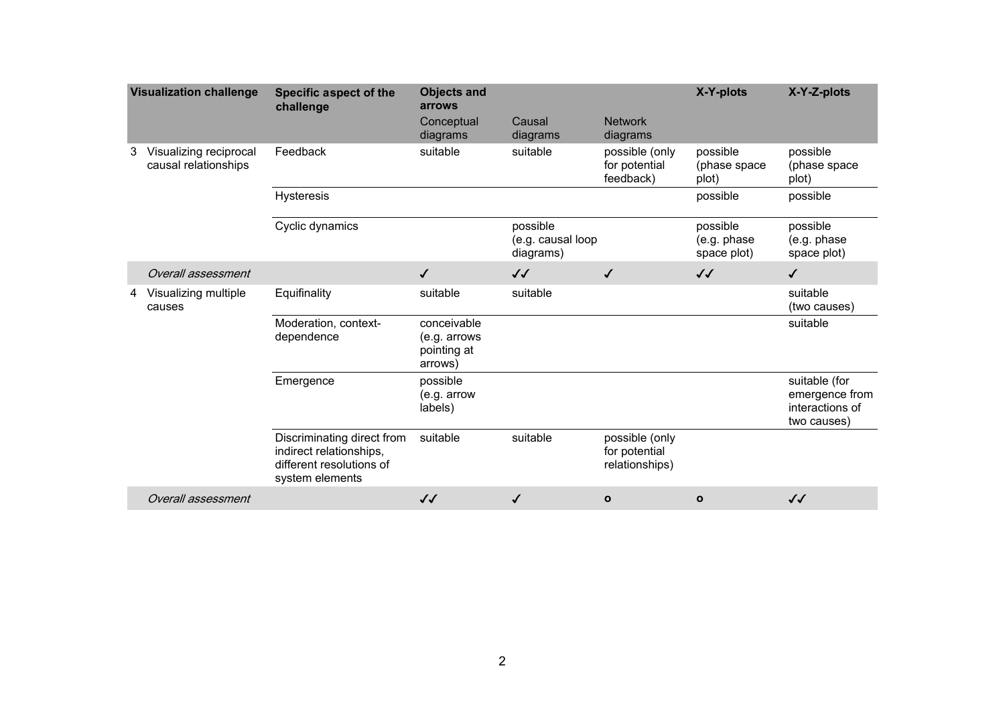| <b>Visualization challenge</b> |                                                | Specific aspect of the<br>challenge                                                                  | <b>Objects and</b><br>arrows<br>Conceptual            | Causal                                     | <b>Network</b>                                    | X-Y-plots                              | X-Y-Z-plots                                                       |
|--------------------------------|------------------------------------------------|------------------------------------------------------------------------------------------------------|-------------------------------------------------------|--------------------------------------------|---------------------------------------------------|----------------------------------------|-------------------------------------------------------------------|
|                                |                                                |                                                                                                      | diagrams                                              | diagrams                                   | diagrams                                          |                                        |                                                                   |
| 3                              | Visualizing reciprocal<br>causal relationships | Feedback                                                                                             | suitable                                              | suitable                                   | possible (only<br>for potential<br>feedback)      | possible<br>(phase space<br>plot)      | possible<br>(phase space<br>plot)                                 |
|                                |                                                | <b>Hysteresis</b>                                                                                    |                                                       |                                            |                                                   | possible                               | possible                                                          |
|                                |                                                | Cyclic dynamics                                                                                      |                                                       | possible<br>(e.g. causal loop<br>diagrams) |                                                   | possible<br>(e.g. phase<br>space plot) | possible<br>(e.g. phase<br>space plot)                            |
|                                | Overall assessment                             |                                                                                                      | $\checkmark$                                          | $\sqrt{\sqrt{2}}$                          | $\checkmark$                                      | $\sqrt{\sqrt{2}}$                      | $\checkmark$                                                      |
| 4                              | Visualizing multiple<br>causes                 | Equifinality                                                                                         | suitable                                              | suitable                                   |                                                   |                                        | suitable<br>(two causes)                                          |
|                                |                                                | Moderation, context-<br>dependence                                                                   | conceivable<br>(e.g. arrows<br>pointing at<br>arrows) |                                            |                                                   |                                        | suitable                                                          |
|                                |                                                | Emergence                                                                                            | possible<br>(e.g. arrow<br>labels)                    |                                            |                                                   |                                        | suitable (for<br>emergence from<br>interactions of<br>two causes) |
|                                |                                                | Discriminating direct from<br>indirect relationships,<br>different resolutions of<br>system elements | suitable                                              | suitable                                   | possible (only<br>for potential<br>relationships) |                                        |                                                                   |
|                                | <b>Overall assessment</b>                      |                                                                                                      | $\sqrt{\sqrt{\ }}$                                    | ✔                                          | $\mathbf{o}$                                      | $\mathbf{o}$                           | $\checkmark$                                                      |